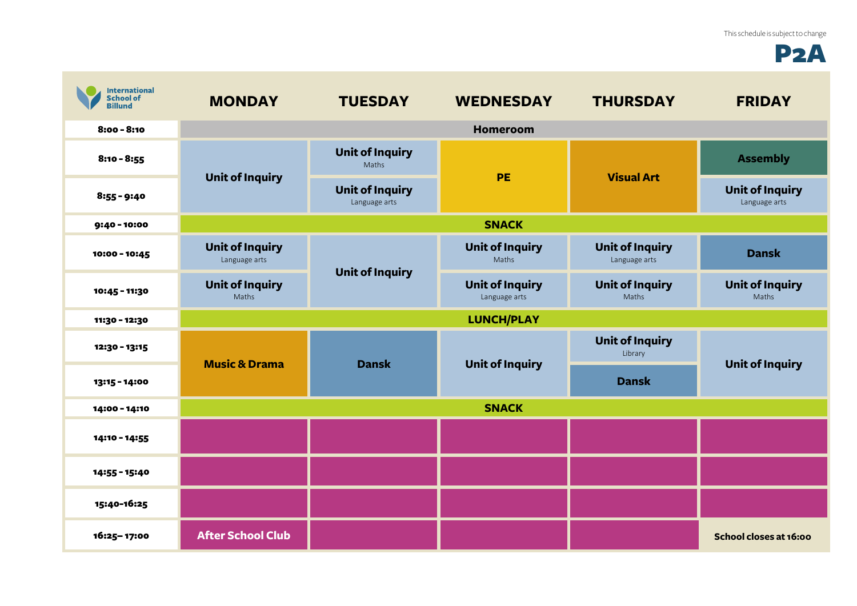## P2A

| <b>International</b><br><b>School of</b><br><b>Billund</b> | <b>MONDAY</b>                                                              | <b>TUESDAY</b>                          | <b>WEDNESDAY</b>                        | <b>THURSDAY</b>                         | <b>FRIDAY</b>                           |  |
|------------------------------------------------------------|----------------------------------------------------------------------------|-----------------------------------------|-----------------------------------------|-----------------------------------------|-----------------------------------------|--|
| $8:00 - 8:10$                                              |                                                                            |                                         | <b>Homeroom</b>                         |                                         |                                         |  |
| $8:10 - 8:55$                                              | <b>Unit of Inquiry</b>                                                     | <b>Unit of Inquiry</b><br>Maths         | <b>PE</b>                               | <b>Visual Art</b>                       | <b>Assembly</b>                         |  |
| $8:55 - 9:40$                                              |                                                                            | <b>Unit of Inquiry</b><br>Language arts |                                         |                                         | <b>Unit of Inquiry</b><br>Language arts |  |
| 9:40 - 10:00                                               | <b>SNACK</b>                                                               |                                         |                                         |                                         |                                         |  |
| 10:00 - 10:45                                              | <b>Unit of Inquiry</b><br>Language arts<br><b>Unit of Inquiry</b><br>Maths | <b>Unit of Inquiry</b>                  | <b>Unit of Inquiry</b><br>Maths         | <b>Unit of Inquiry</b><br>Language arts | <b>Dansk</b>                            |  |
| 10:45 - 11:30                                              |                                                                            |                                         | <b>Unit of Inquiry</b><br>Language arts | <b>Unit of Inquiry</b><br>Maths         | <b>Unit of Inquiry</b><br>Maths         |  |
| 11:30 - 12:30                                              | <b>LUNCH/PLAY</b>                                                          |                                         |                                         |                                         |                                         |  |
| 12:30 - 13:15                                              | <b>Music &amp; Drama</b>                                                   | <b>Dansk</b>                            | <b>Unit of Inquiry</b>                  | <b>Unit of Inquiry</b><br>Library       | <b>Unit of Inquiry</b>                  |  |
| 13:15 - 14:00                                              |                                                                            |                                         |                                         | <b>Dansk</b>                            |                                         |  |
| 14:00 - 14:10                                              | <b>SNACK</b>                                                               |                                         |                                         |                                         |                                         |  |
| 14:10 - 14:55                                              |                                                                            |                                         |                                         |                                         |                                         |  |
| 14:55 - 15:40                                              |                                                                            |                                         |                                         |                                         |                                         |  |
| 15:40-16:25                                                |                                                                            |                                         |                                         |                                         |                                         |  |
| 16:25-17:00                                                | <b>After School Club</b>                                                   |                                         |                                         |                                         | School closes at 16:00                  |  |

**College**